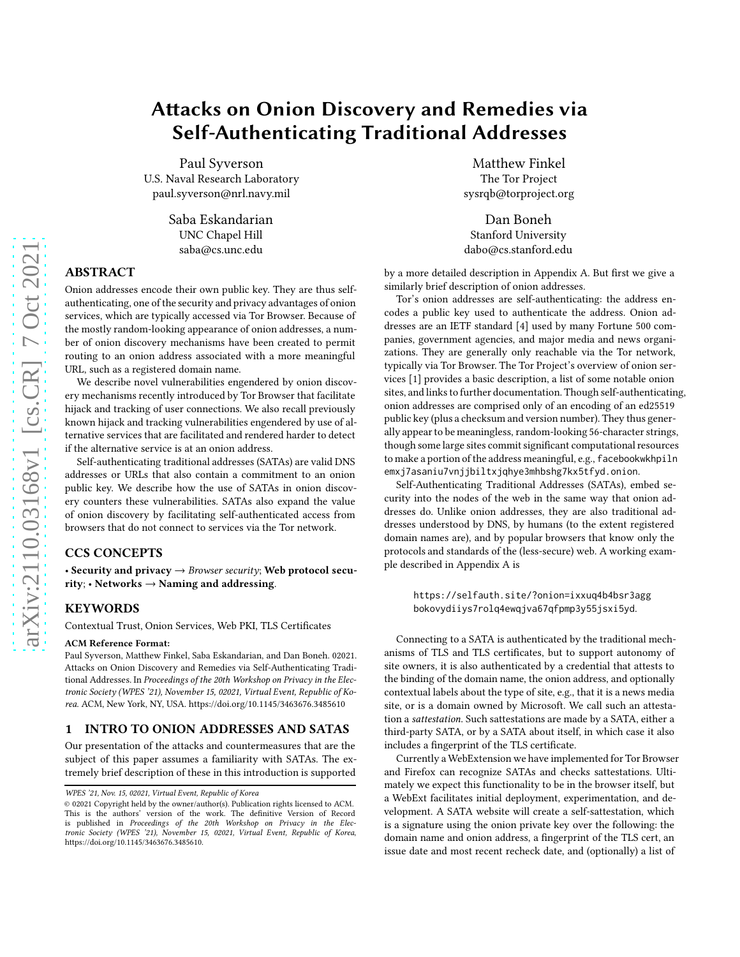# Attacks on Onion Discovery and Remedies via Self-Authenticating Traditional Addresses

Paul Syverson U.S. Naval Research Laboratory paul.syverson@nrl.navy.mil

> Saba Eskandarian UNC Chapel Hill saba@cs.unc.edu

# ABSTRACT

Onion addresses encode their own public key. They are thus selfauthenticating, one of the security and privacy advantages of onion services, which are typically accessed via Tor Browser. Because of the mostly random-looking appearance of onion addresses, a number of onion discovery mechanisms have been created to permit routing to an onion address associated with a more meaningful URL, such as a registered domain name.

We describe novel vulnerabilities engendered by onion discovery mechanisms recently introduced by Tor Browser that facilitate hijack and tracking of user connections. We also recall previously known hijack and tracking vulnerabilities engendered by use of alternative services that are facilitated and rendered harder to detect if the alternative service is at an onion address.

Self-authenticating traditional addresses (SATAs) are valid DNS addresses or URLs that also contain a commitment to an onion public key. We describe how the use of SATAs in onion discovery counters these vulnerabilities. SATAs also expand the value of onion discovery by facilitating self-authenticated access from browsers that do not connect to services via the Tor network.

# CCS CONCEPTS

• Security and privacy → *Browser security*; Web protocol security; • Networks  $\rightarrow$  Naming and addressing.

### **KEYWORDS**

Contextual Trust, Onion Services, Web PKI, TLS Certificates

#### ACM Reference Format:

Paul Syverson, Matthew Finkel, Saba Eskandarian, and Dan Boneh. 02021. Attacks on Onion Discovery and Remedies via Self-Authenticating Traditional Addresses. In *Proceedings of the 20th Workshop on Privacy in the Electronic Society (WPES '21), November 15, 02021, Virtual Event, Republic of Korea.* ACM, New York, NY, USA.<https://doi.org/10.1145/3463676.3485610>

#### 1 INTRO TO ONION ADDRESSES AND SATAS

Our presentation of the attacks and countermeasures that are the subject of this paper assumes a familiarity with SATAs. The extremely brief description of these in this introduction is supported

Matthew Finkel The Tor Project sysrqb@torproject.org

Dan Boneh Stanford University dabo@cs.stanford.edu

by a more detailed description in Appendix [A.](#page-4-0) But first we give a similarly brief description of onion addresses.

Tor's onion addresses are self-authenticating: the address encodes a public key used to authenticate the address. Onion addresses are an IETF standard [\[4](#page-4-1)] used by many Fortune 500 companies, government agencies, and major media and news organizations. They are generally only reachable via the Tor network, typically via Tor Browser. The Tor Project's overview of onion services [\[1\]](#page-4-2) provides a basic description, a list of some notable onion sites, and links to further documentation. Though self-authenticating, onion addresses are comprised only of an encoding of an ed25519 public key (plus a checksum and version number). They thus generally appear to be meaningless, random-looking 56-character strings, though some large sites commit significant computational resources to make a portion of the address meaningful, e.g., facebookwkhpiln emxj7asaniu7vnjjbiltxjqhye3mhbshg7kx5tfyd.onion.

Self-Authenticating Traditional Addresses (SATAs), embed security into the nodes of the web in the same way that onion addresses do. Unlike onion addresses, they are also traditional addresses understood by DNS, by humans (to the extent registered domain names are), and by popular browsers that know only the protocols and standards of the (less-secure) web. A working example described in Appendix [A](#page-4-0) is

https://selfauth.site/?onion=ixxuq4b4bsr3agg bokovydiiys7rolq4ewqjva67qfpmp3y55jsxi5yd.

Connecting to a SATA is authenticated by the traditional mechanisms of TLS and TLS certificates, but to support autonomy of site owners, it is also authenticated by a credential that attests to the binding of the domain name, the onion address, and optionally contextual labels about the type of site, e.g., that it is a news media site, or is a domain owned by Microsoft. We call such an attestation a *sattestation*. Such sattestations are made by a SATA, either a third-party SATA, or by a SATA about itself, in which case it also includes a fingerprint of the TLS certificate.

Currently a WebExtension we have implemented for Tor Browser and Firefox can recognize SATAs and checks sattestations. Ultimately we expect this functionality to be in the browser itself, but a WebExt facilitates initial deployment, experimentation, and development. A SATA website will create a self-sattestation, which is a signature using the onion private key over the following: the domain name and onion address, a fingerprint of the TLS cert, an issue date and most recent recheck date, and (optionally) a list of

*WPES '21, Nov. 15, 02021, Virtual Event, Republic of Korea*

<sup>© 02021</sup> Copyright held by the owner/author(s). Publication rights licensed to ACM. This is the authors' version of the work. The definitive Version of Record is published in *Proceedings of the 20th Workshop on Privacy in the Electronic Society (WPES '21), November 15, 02021, Virtual Event, Republic of Korea*, [https://doi.org/10.1145/3463676.3485610.](https://doi.org/10.1145/3463676.3485610)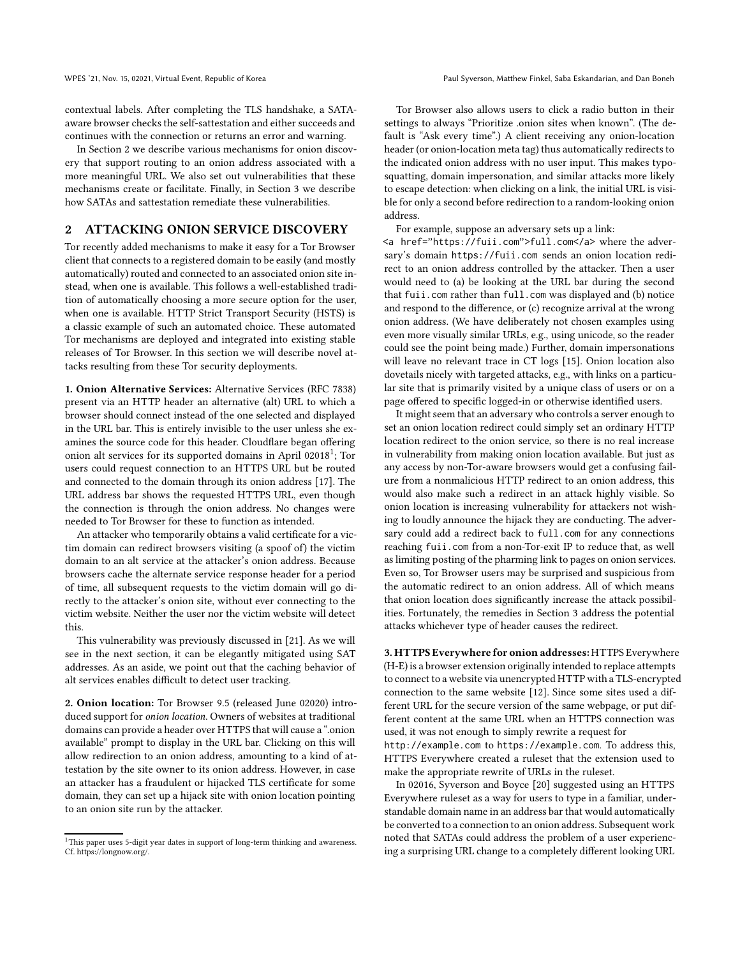contextual labels. After completing the TLS handshake, a SATAaware browser checks the self-sattestation and either succeeds and continues with the connection or returns an error and warning.

In Section [2](#page-1-0) we describe various mechanisms for onion discovery that support routing to an onion address associated with a more meaningful URL. We also set out vulnerabilities that these mechanisms create or facilitate. Finally, in Section [3](#page-2-0) we describe how SATAs and sattestation remediate these vulnerabilities.

## <span id="page-1-0"></span>2 ATTACKING ONION SERVICE DISCOVERY

Tor recently added mechanisms to make it easy for a Tor Browser client that connects to a registered domain to be easily (and mostly automatically) routed and connected to an associated onion site instead, when one is available. This follows a well-established tradition of automatically choosing a more secure option for the user, when one is available. HTTP Strict Transport Security (HSTS) is a classic example of such an automated choice. These automated Tor mechanisms are deployed and integrated into existing stable releases of Tor Browser. In this section we will describe novel attacks resulting from these Tor security deployments.

1. Onion Alternative Services: Alternative Services (RFC 7838) present via an HTTP header an alternative (alt) URL to which a browser should connect instead of the one selected and displayed in the URL bar. This is entirely invisible to the user unless she examines the source code for this header. Cloudflare began offering onion alt services for its supported domains in April 020[1](#page-1-1)8<sup>1</sup>; Tor users could request connection to an HTTPS URL but be routed and connected to the domain through its onion address [\[17](#page-4-3)]. The URL address bar shows the requested HTTPS URL, even though the connection is through the onion address. No changes were needed to Tor Browser for these to function as intended.

An attacker who temporarily obtains a valid certificate for a victim domain can redirect browsers visiting (a spoof of) the victim domain to an alt service at the attacker's onion address. Because browsers cache the alternate service response header for a period of time, all subsequent requests to the victim domain will go directly to the attacker's onion site, without ever connecting to the victim website. Neither the user nor the victim website will detect this.

This vulnerability was previously discussed in [\[21\]](#page-4-4). As we will see in the next section, it can be elegantly mitigated using SAT addresses. As an aside, we point out that the caching behavior of alt services enables difficult to detect user tracking.

2. Onion location: Tor Browser 9.5 (released June 02020) introduced support for *onion location*. Owners of websites at traditional domains can provide a header over HTTPS that will cause a ".onion available" prompt to display in the URL bar. Clicking on this will allow redirection to an onion address, amounting to a kind of attestation by the site owner to its onion address. However, in case an attacker has a fraudulent or hijacked TLS certificate for some domain, they can set up a hijack site with onion location pointing to an onion site run by the attacker.

Tor Browser also allows users to click a radio button in their settings to always "Prioritize .onion sites when known". (The default is "Ask every time".) A client receiving any onion-location header (or onion-location meta tag) thus automatically redirects to the indicated onion address with no user input. This makes typosquatting, domain impersonation, and similar attacks more likely to escape detection: when clicking on a link, the initial URL is visible for only a second before redirection to a random-looking onion address.

For example, suppose an adversary sets up a link:

<a href="https://fuii.com">full.com</a> where the adversary's domain https://fuii.com sends an onion location redirect to an onion address controlled by the attacker. Then a user would need to (a) be looking at the URL bar during the second that fuii.com rather than full.com was displayed and (b) notice and respond to the difference, or (c) recognize arrival at the wrong onion address. (We have deliberately not chosen examples using even more visually similar URLs, e.g., using unicode, so the reader could see the point being made.) Further, domain impersonations will leave no relevant trace in CT logs [\[15\]](#page-4-5). Onion location also dovetails nicely with targeted attacks, e.g., with links on a particular site that is primarily visited by a unique class of users or on a page offered to specific logged-in or otherwise identified users.

It might seem that an adversary who controls a server enough to set an onion location redirect could simply set an ordinary HTTP location redirect to the onion service, so there is no real increase in vulnerability from making onion location available. But just as any access by non-Tor-aware browsers would get a confusing failure from a nonmalicious HTTP redirect to an onion address, this would also make such a redirect in an attack highly visible. So onion location is increasing vulnerability for attackers not wishing to loudly announce the hijack they are conducting. The adversary could add a redirect back to full.com for any connections reaching fuii.com from a non-Tor-exit IP to reduce that, as well as limiting posting of the pharming link to pages on onion services. Even so, Tor Browser users may be surprised and suspicious from the automatic redirect to an onion address. All of which means that onion location does significantly increase the attack possibilities. Fortunately, the remedies in Section [3](#page-2-0) address the potential attacks whichever type of header causes the redirect.

3. HTTPS Everywhere for onion addresses:HTTPS Everywhere (H-E) is a browser extension originally intended to replace attempts to connect to a website via unencrypted HTTP with a TLS-encrypted connection to the same website [\[12\]](#page-4-6). Since some sites used a different URL for the secure version of the same webpage, or put different content at the same URL when an HTTPS connection was used, it was not enough to simply rewrite a request for http://example.com to https://example.com. To address this, HTTPS Everywhere created a ruleset that the extension used to make the appropriate rewrite of URLs in the ruleset.

In 02016, Syverson and Boyce [\[20](#page-4-7)] suggested using an HTTPS Everywhere ruleset as a way for users to type in a familiar, understandable domain name in an address bar that would automatically be converted to a connection to an onion address. Subsequent work noted that SATAs could address the problem of a user experiencing a surprising URL change to a completely different looking URL

<span id="page-1-1"></span> $^{\rm 1}$  This paper uses 5-digit year dates in support of long-term thinking and awareness. Cf. https://longnow.org/.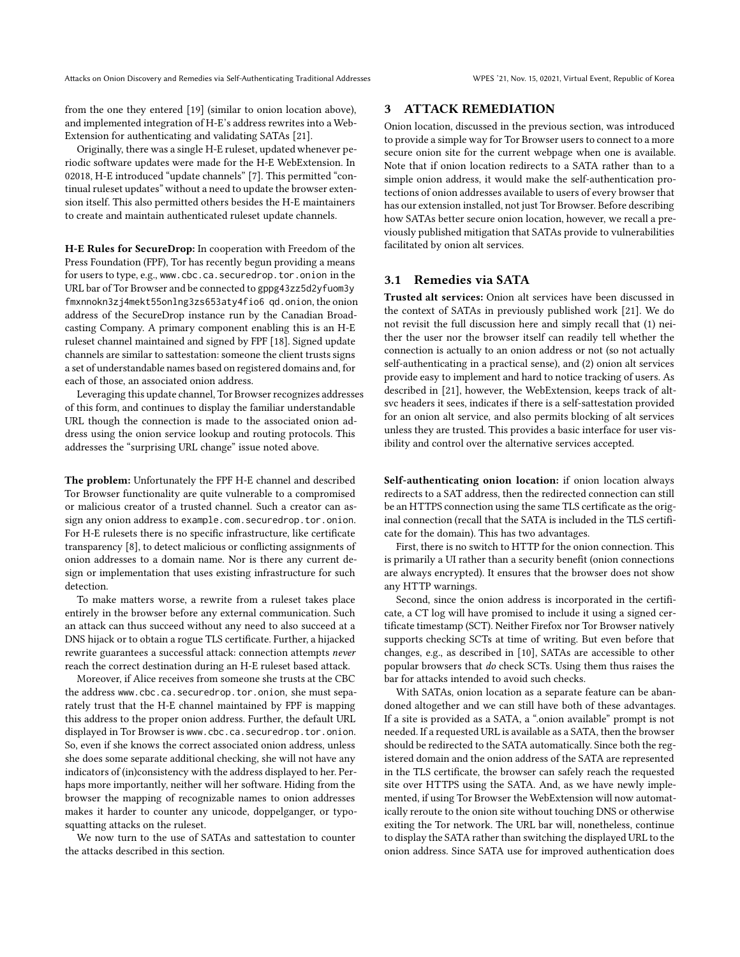from the one they entered [\[19\]](#page-4-8) (similar to onion location above), and implemented integration of H-E's address rewrites into a Web-Extension for authenticating and validating SATAs [\[21\]](#page-4-4).

Originally, there was a single H-E ruleset, updated whenever periodic software updates were made for the H-E WebExtension. In 02018, H-E introduced "update channels" [\[7\]](#page-4-9). This permitted "continual ruleset updates" without a need to update the browser extension itself. This also permitted others besides the H-E maintainers to create and maintain authenticated ruleset update channels.

H-E Rules for SecureDrop: In cooperation with Freedom of the Press Foundation (FPF), Tor has recently begun providing a means for users to type, e.g., www.cbc.ca.securedrop.tor.onion in the URL bar of Tor Browser and be connected to gppg43zz5d2yfuom3y fmxnnokn3zj4mekt55onlng3zs653aty4fio6 qd.onion, the onion address of the SecureDrop instance run by the Canadian Broadcasting Company. A primary component enabling this is an H-E ruleset channel maintained and signed by FPF [\[18\]](#page-4-10). Signed update channels are similar to sattestation: someone the client trusts signs a set of understandable names based on registered domains and, for each of those, an associated onion address.

Leveraging this update channel, Tor Browser recognizes addresses of this form, and continues to display the familiar understandable URL though the connection is made to the associated onion address using the onion service lookup and routing protocols. This addresses the "surprising URL change" issue noted above.

The problem: Unfortunately the FPF H-E channel and described Tor Browser functionality are quite vulnerable to a compromised or malicious creator of a trusted channel. Such a creator can assign any onion address to example.com.securedrop.tor.onion. For H-E rulesets there is no specific infrastructure, like certificate transparency [\[8](#page-4-11)], to detect malicious or conflicting assignments of onion addresses to a domain name. Nor is there any current design or implementation that uses existing infrastructure for such detection.

To make matters worse, a rewrite from a ruleset takes place entirely in the browser before any external communication. Such an attack can thus succeed without any need to also succeed at a DNS hijack or to obtain a rogue TLS certificate. Further, a hijacked rewrite guarantees a successful attack: connection attempts *never* reach the correct destination during an H-E ruleset based attack.

Moreover, if Alice receives from someone she trusts at the CBC the address www.cbc.ca.securedrop.tor.onion, she must separately trust that the H-E channel maintained by FPF is mapping this address to the proper onion address. Further, the default URL displayed in Tor Browser is www.cbc.ca.securedrop.tor.onion. So, even if she knows the correct associated onion address, unless she does some separate additional checking, she will not have any indicators of (in)consistency with the address displayed to her. Perhaps more importantly, neither will her software. Hiding from the browser the mapping of recognizable names to onion addresses makes it harder to counter any unicode, doppelganger, or typosquatting attacks on the ruleset.

We now turn to the use of SATAs and sattestation to counter the attacks described in this section.

## <span id="page-2-0"></span>3 ATTACK REMEDIATION

Onion location, discussed in the previous section, was introduced to provide a simple way for Tor Browser users to connect to a more secure onion site for the current webpage when one is available. Note that if onion location redirects to a SATA rather than to a simple onion address, it would make the self-authentication protections of onion addresses available to users of every browser that has our extension installed, not just Tor Browser. Before describing how SATAs better secure onion location, however, we recall a previously published mitigation that SATAs provide to vulnerabilities facilitated by onion alt services.

## 3.1 Remedies via SATA

Trusted alt services: Onion alt services have been discussed in the context of SATAs in previously published work [\[21\]](#page-4-4). We do not revisit the full discussion here and simply recall that (1) neither the user nor the browser itself can readily tell whether the connection is actually to an onion address or not (so not actually self-authenticating in a practical sense), and (2) onion alt services provide easy to implement and hard to notice tracking of users. As described in [\[21](#page-4-4)], however, the WebExtension, keeps track of altsvc headers it sees, indicates if there is a self-sattestation provided for an onion alt service, and also permits blocking of alt services unless they are trusted. This provides a basic interface for user visibility and control over the alternative services accepted.

Self-authenticating onion location: if onion location always redirects to a SAT address, then the redirected connection can still be an HTTPS connection using the same TLS certificate as the original connection (recall that the SATA is included in the TLS certificate for the domain). This has two advantages.

First, there is no switch to HTTP for the onion connection. This is primarily a UI rather than a security benefit (onion connections are always encrypted). It ensures that the browser does not show any HTTP warnings.

Second, since the onion address is incorporated in the certificate, a CT log will have promised to include it using a signed certificate timestamp (SCT). Neither Firefox nor Tor Browser natively supports checking SCTs at time of writing. But even before that changes, e.g., as described in [\[10\]](#page-4-12), SATAs are accessible to other popular browsers that *do* check SCTs. Using them thus raises the bar for attacks intended to avoid such checks.

With SATAs, onion location as a separate feature can be abandoned altogether and we can still have both of these advantages. If a site is provided as a SATA, a ".onion available" prompt is not needed. If a requested URL is available as a SATA, then the browser should be redirected to the SATA automatically. Since both the registered domain and the onion address of the SATA are represented in the TLS certificate, the browser can safely reach the requested site over HTTPS using the SATA. And, as we have newly implemented, if using Tor Browser the WebExtension will now automatically reroute to the onion site without touching DNS or otherwise exiting the Tor network. The URL bar will, nonetheless, continue to display the SATA rather than switching the displayed URL to the onion address. Since SATA use for improved authentication does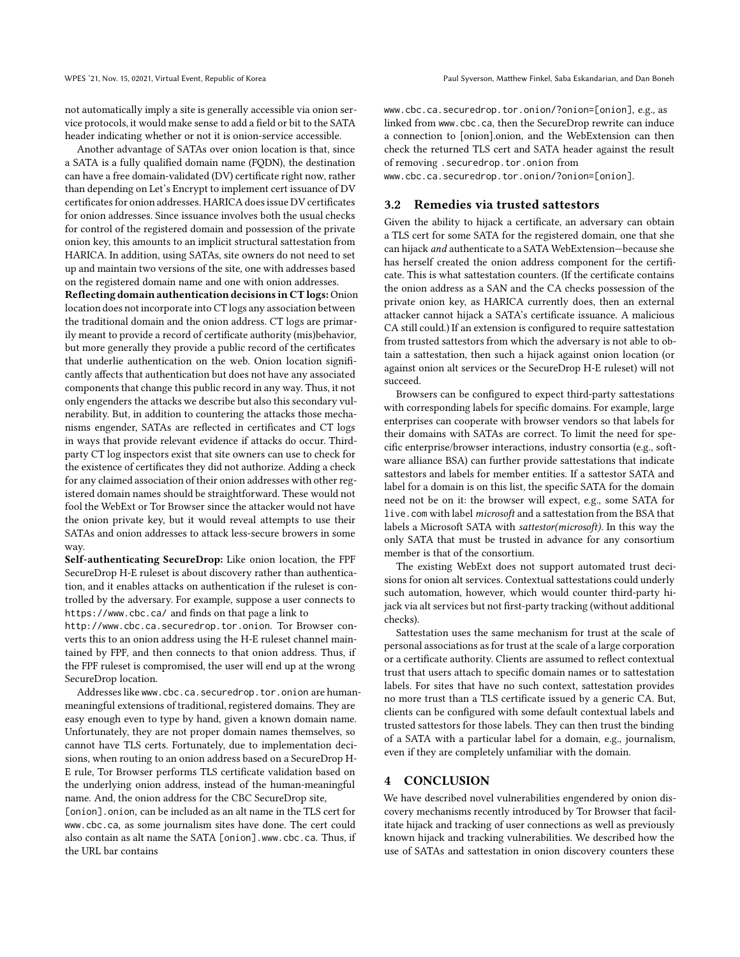not automatically imply a site is generally accessible via onion service protocols, it would make sense to add a field or bit to the SATA header indicating whether or not it is onion-service accessible.

Another advantage of SATAs over onion location is that, since a SATA is a fully qualified domain name (FQDN), the destination can have a free domain-validated (DV) certificate right now, rather than depending on Let's Encrypt to implement cert issuance of DV certificates for onion addresses. HARICA does issue DV certificates for onion addresses. Since issuance involves both the usual checks for control of the registered domain and possession of the private onion key, this amounts to an implicit structural sattestation from HARICA. In addition, using SATAs, site owners do not need to set up and maintain two versions of the site, one with addresses based on the registered domain name and one with onion addresses.

Reflecting domain authentication decisions in CT logs: Onion location does not incorporate into CT logs any association between the traditional domain and the onion address. CT logs are primarily meant to provide a record of certificate authority (mis)behavior, but more generally they provide a public record of the certificates that underlie authentication on the web. Onion location significantly affects that authentication but does not have any associated components that change this public record in any way. Thus, it not only engenders the attacks we describe but also this secondary vulnerability. But, in addition to countering the attacks those mechanisms engender, SATAs are reflected in certificates and CT logs in ways that provide relevant evidence if attacks do occur. Thirdparty CT log inspectors exist that site owners can use to check for the existence of certificates they did not authorize. Adding a check for any claimed association of their onion addresses with other registered domain names should be straightforward. These would not fool the WebExt or Tor Browser since the attacker would not have the onion private key, but it would reveal attempts to use their SATAs and onion addresses to attack less-secure browers in some way.

Self-authenticating SecureDrop: Like onion location, the FPF SecureDrop H-E ruleset is about discovery rather than authentication, and it enables attacks on authentication if the ruleset is controlled by the adversary. For example, suppose a user connects to https://www.cbc.ca/ and finds on that page a link to

http://www.cbc.ca.securedrop.tor.onion. Tor Browser converts this to an onion address using the H-E ruleset channel maintained by FPF, and then connects to that onion address. Thus, if the FPF ruleset is compromised, the user will end up at the wrong SecureDrop location.

Addresses like www.cbc.ca.securedrop.tor.onion are humanmeaningful extensions of traditional, registered domains. They are easy enough even to type by hand, given a known domain name. Unfortunately, they are not proper domain names themselves, so cannot have TLS certs. Fortunately, due to implementation decisions, when routing to an onion address based on a SecureDrop H-E rule, Tor Browser performs TLS certificate validation based on the underlying onion address, instead of the human-meaningful name. And, the onion address for the CBC SecureDrop site,

[onion]. onion, can be included as an alt name in the TLS cert for www.cbc.ca, as some journalism sites have done. The cert could also contain as alt name the SATA [onion].www.cbc.ca. Thus, if the URL bar contains

www.cbc.ca.securedrop.tor.onion/?onion=[onion], e.g., as linked from www.cbc.ca, then the SecureDrop rewrite can induce a connection to [onion].onion, and the WebExtension can then check the returned TLS cert and SATA header against the result of removing .securedrop.tor.onion from

www.cbc.ca.securedrop.tor.onion/?onion=[onion].

# 3.2 Remedies via trusted sattestors

Given the ability to hijack a certificate, an adversary can obtain a TLS cert for some SATA for the registered domain, one that she can hijack *and* authenticate to a SATA WebExtension—because she has herself created the onion address component for the certificate. This is what sattestation counters. (If the certificate contains the onion address as a SAN and the CA checks possession of the private onion key, as HARICA currently does, then an external attacker cannot hijack a SATA's certificate issuance. A malicious CA still could.) If an extension is configured to require sattestation from trusted sattestors from which the adversary is not able to obtain a sattestation, then such a hijack against onion location (or against onion alt services or the SecureDrop H-E ruleset) will not succeed.

Browsers can be configured to expect third-party sattestations with corresponding labels for specific domains. For example, large enterprises can cooperate with browser vendors so that labels for their domains with SATAs are correct. To limit the need for specific enterprise/browser interactions, industry consortia (e.g., software alliance BSA) can further provide sattestations that indicate sattestors and labels for member entities. If a sattestor SATA and label for a domain is on this list, the specific SATA for the domain need not be on it: the browser will expect, e.g., some SATA for live.com with label *microsoft* and a sattestation from the BSA that labels a Microsoft SATA with *sattestor(microsoft)*. In this way the only SATA that must be trusted in advance for any consortium member is that of the consortium.

The existing WebExt does not support automated trust decisions for onion alt services. Contextual sattestations could underly such automation, however, which would counter third-party hijack via alt services but not first-party tracking (without additional checks).

Sattestation uses the same mechanism for trust at the scale of personal associations as for trust at the scale of a large corporation or a certificate authority. Clients are assumed to reflect contextual trust that users attach to specific domain names or to sattestation labels. For sites that have no such context, sattestation provides no more trust than a TLS certificate issued by a generic CA. But, clients can be configured with some default contextual labels and trusted sattestors for those labels. They can then trust the binding of a SATA with a particular label for a domain, e.g., journalism, even if they are completely unfamiliar with the domain.

## 4 CONCLUSION

We have described novel vulnerabilities engendered by onion discovery mechanisms recently introduced by Tor Browser that facilitate hijack and tracking of user connections as well as previously known hijack and tracking vulnerabilities. We described how the use of SATAs and sattestation in onion discovery counters these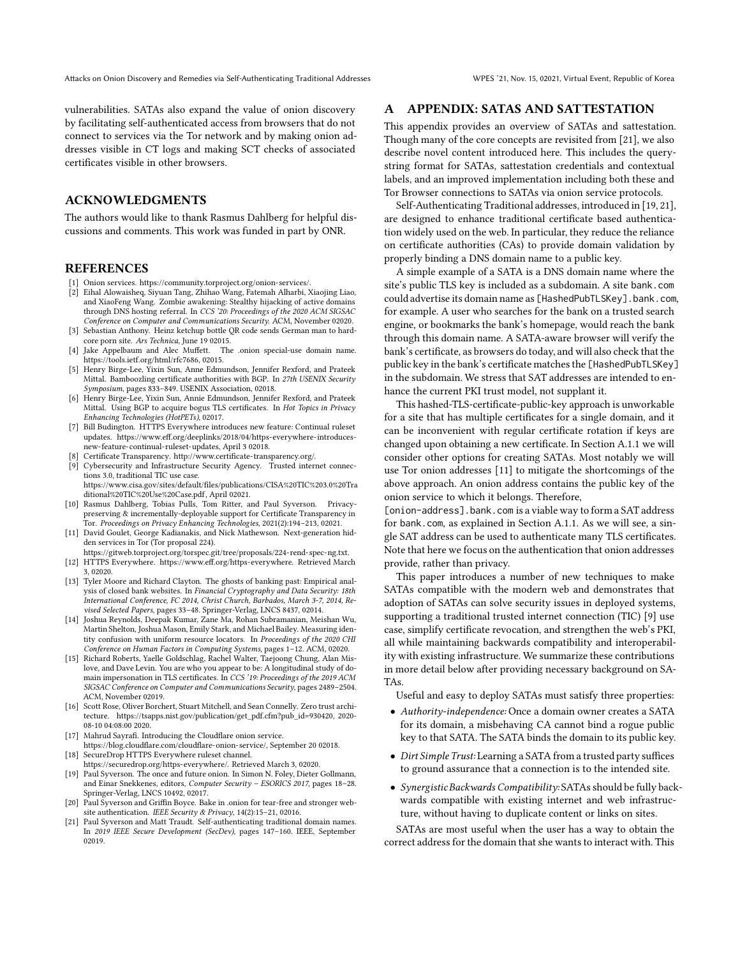Attacks on Onion Discovery and Remedies via Self-Authenticating Traditional Addresses WPES '21, Nov. 15, 02021, Virtual Event, Republic of Korea

vulnerabilities. SATAs also expand the value of onion discovery by facilitating self-authenticated access from browsers that do not connect to services via the Tor network and by making onion addresses visible in CT logs and making SCT checks of associated certificates visible in other browsers.

## ACKNOWLEDGMENTS

The authors would like to thank Rasmus Dahlberg for helpful discussions and comments. This work was funded in part by ONR.

## **REFERENCES**

- <span id="page-4-2"></span>[1] Onion services. [https://community.torproject.org/onion-services/.](https://community.torproject.org/onion-services/)
- <span id="page-4-19"></span>[2] Eihal Alowaisheq, Siyuan Tang, Zhihao Wang, Fatemah Alharbi, Xiaojing Liao, and XiaoFeng Wang. Zombie awakening: Stealthy hijacking of active domains through DNS hosting referral. In *CCS '20: Proceedings of the 2020 ACM SIGSAC Conference on Computer and Communications Security*. ACM, November 02020.
- <span id="page-4-17"></span>[3] Sebastian Anthony. Heinz ketchup bottle QR code sends German man to hardcore porn site. *Ars Technica*, June 19 02015.
- <span id="page-4-1"></span>[4] Jake Appelbaum and Alec Muffett. The .onion special-use domain name. [https://tools.ietf.org/html/rfc7686,](https://tools.ietf.org/html/rfc7686) 02015.
- <span id="page-4-15"></span>[5] Henry Birge-Lee, Yixin Sun, Anne Edmundson, Jennifer Rexford, and Prateek Mittal. Bamboozling certificate authorities with BGP. In *27th USENIX Security Symposium*, pages 833–849. USENIX Association, 02018.
- <span id="page-4-16"></span>[6] Henry Birge-Lee, Yixin Sun, Annie Edmundson, Jennifer Rexford, and Prateek Mittal. Using BGP to acquire bogus TLS certificates. In *Hot Topics in Privacy Enhancing Technologies (HotPETs)*, 02017.
- <span id="page-4-9"></span>[7] Bill Budington. HTTPS Everywhere introduces new feature: Continual ruleset updates. [https://www.eff.org/deeplinks/2018/04/https-everywhere-introduces](https://www.eff.org/deeplinks/2018/04/https-everywhere-introduces-)[new-feature-continual-ruleset-updates,](new-feature-continual-ruleset-updates) April 3 02018.
- <span id="page-4-11"></span>[8] Certificate Transparency. [http://www.certificate-transparency.org/.](http://www.certificate-transparency.org/)
- <span id="page-4-14"></span>[9] Cybersecurity and Infrastructure Security Agency. Trusted internet connections 3.0, traditional TIC use case. <https://www.cisa.gov/sites/default/files/publications/CISA%20TIC%203.0%20Tra>

[ditional%20TIC%20Use%20Case.pdf,](ditional%20TIC%20Use%20Case.pdf) April 02021.

- <span id="page-4-12"></span>[10] Rasmus Dahlberg, Tobias Pulls, Tom Ritter, and Paul Syverson. Privacypreserving & incrementally-deployable support for Certificate Transparency in Tor. *Proceedings on Privacy Enhancing Technologies*, 2021(2):194–213, 02021.
- <span id="page-4-13"></span>[11] David Goulet, George Kadianakis, and Nick Mathewson. Next-generation hidden services in Tor (Tor proposal 224).
- <span id="page-4-6"></span>[https://gitweb.torproject.org/torspec.git/tree/proposals/224-rend-spec-ng.txt.](https://gitweb.torproject.org/torspec.git/tree/proposals/224-rend-spec-ng.txt) [12] HTTPS Everywhere. [https://www.eff.org/https-everywhere.](https://www.eff.org/https-everywhere) Retrieved March 3, 02020.
- <span id="page-4-18"></span>[13] Tyler Moore and Richard Clayton. The ghosts of banking past: Empirical analysis of closed bank websites. In *Financial Cryptography and Data Security: 18th International Conference, FC 2014, Christ Church, Barbados, March 3-7, 2014, Revised Selected Papers*, pages 33–48. Springer-Verlag, LNCS 8437, 02014.
- <span id="page-4-20"></span>[14] Joshua Reynolds, Deepak Kumar, Zane Ma, Rohan Subramanian, Meishan Wu, Martin Shelton, Joshua Mason, Emily Stark, and Michael Bailey. Measuring identity confusion with uniform resource locators. In *Proceedings of the 2020 CHI Conference on Human Factors in Computing Systems*, pages 1–12. ACM, 02020.
- <span id="page-4-5"></span>[15] Richard Roberts, Yaelle Goldschlag, Rachel Walter, Taejoong Chung, Alan Mislove, and Dave Levin. You are who you appear to be: A longitudinal study of domain impersonation in TLS certificates. In *CCS '19: Proceedings of the 2019 ACM SIGSAC Conference on Computer and Communications Security*, pages 2489–2504. ACM, November 02019.
- <span id="page-4-21"></span>[16] Scott Rose, Oliver Borchert, Stuart Mitchell, and Sean Connelly. Zero trust architecture. [https://tsapps.nist.gov/publication/get\\_pdf.cfm?pub\\_id=930420,](https://tsapps.nist.gov/publication/get_pdf.cfm?pub_id=930420) 2020- 08-10 04:08:00 2020.
- <span id="page-4-3"></span>[17] Mahrud Sayrafi. Introducing the Cloudflare onion service. [https://blog.cloudflare.com/cloudflare-onion-service/,](https://blog.cloudflare.com/cloudflare-onion-service/) September 20 02018.
- <span id="page-4-10"></span>[18] SecureDrop HTTPS Everywhere ruleset channel. [https://securedrop.org/https-everywhere/.](https://securedrop.org/https-everywhere/) Retrieved March 3, 02020.
- <span id="page-4-8"></span>[19] Paul Syverson. The once and future onion. In Simon N. Foley, Dieter Gollmann, and Einar Snekkenes, editors, *Computer Security – ESORICS 2017*, pages 18–28. Springer-Verlag, LNCS 10492, 02017.
- <span id="page-4-7"></span>[20] Paul Syverson and Griffin Boyce. Bake in .onion for tear-free and stronger website authentication. *IEEE Security & Privacy*, 14(2):15–21, 02016.
- <span id="page-4-4"></span>[21] Paul Syverson and Matt Traudt. Self-authenticating traditional domain names. In *2019 IEEE Secure Development (SecDev)*, pages 147–160. IEEE, September 02019.

## <span id="page-4-0"></span>A APPENDIX: SATAS AND SATTESTATION

This appendix provides an overview of SATAs and sattestation. Though many of the core concepts are revisited from [\[21\]](#page-4-4), we also describe novel content introduced here. This includes the querystring format for SATAs, sattestation credentials and contextual labels, and an improved implementation including both these and Tor Browser connections to SATAs via onion service protocols.

Self-Authenticating Traditional addresses, introduced in [\[19,](#page-4-8) [21\]](#page-4-4), are designed to enhance traditional certificate based authentication widely used on the web. In particular, they reduce the reliance on certificate authorities (CAs) to provide domain validation by properly binding a DNS domain name to a public key.

A simple example of a SATA is a DNS domain name where the site's public TLS key is included as a subdomain. A site bank.com could advertise its domain name as [HashedPubTLSKey].bank.com, for example. A user who searches for the bank on a trusted search engine, or bookmarks the bank's homepage, would reach the bank through this domain name. A SATA-aware browser will verify the bank's certificate, as browsers do today, and will also check that the public key in the bank's certificate matches the [HashedPubTLSKey] in the subdomain. We stress that SAT addresses are intended to enhance the current PKI trust model, not supplant it.

This hashed-TLS-certificate-public-key approach is unworkable for a site that has multiple certificates for a single domain, and it can be inconvenient with regular certificate rotation if keys are changed upon obtaining a new certificate. In Section [A.1.1](#page-5-0) we will consider other options for creating SATAs. Most notably we will use Tor onion addresses [\[11](#page-4-13)] to mitigate the shortcomings of the above approach. An onion address contains the public key of the onion service to which it belongs. Therefore,

[onion-address].bank.com is a viable way to form a SAT address for bank.com, as explained in Section [A.1.1.](#page-5-0) As we will see, a single SAT address can be used to authenticate many TLS certificates. Note that here we focus on the authentication that onion addresses provide, rather than privacy.

This paper introduces a number of new techniques to make SATAs compatible with the modern web and demonstrates that adoption of SATAs can solve security issues in deployed systems, supporting a traditional trusted internet connection (TIC) [\[9](#page-4-14)] use case, simplify certificate revocation, and strengthen the web's PKI, all while maintaining backwards compatibility and interoperability with existing infrastructure. We summarize these contributions in more detail below after providing necessary background on SA-TAs.

Useful and easy to deploy SATAs must satisfy three properties:

- *Authority-independence:* Once a domain owner creates a SATA for its domain, a misbehaving CA cannot bind a rogue public key to that SATA. The SATA binds the domain to its public key.
- *Dirt Simple Trust:* Learning a SATA from a trusted party suffices to ground assurance that a connection is to the intended site.
- *Synergistic Backwards Compatibility:* SATAs should be fully backwards compatible with existing internet and web infrastructure, without having to duplicate content or links on sites.

SATAs are most useful when the user has a way to obtain the correct address for the domain that she wants to interact with. This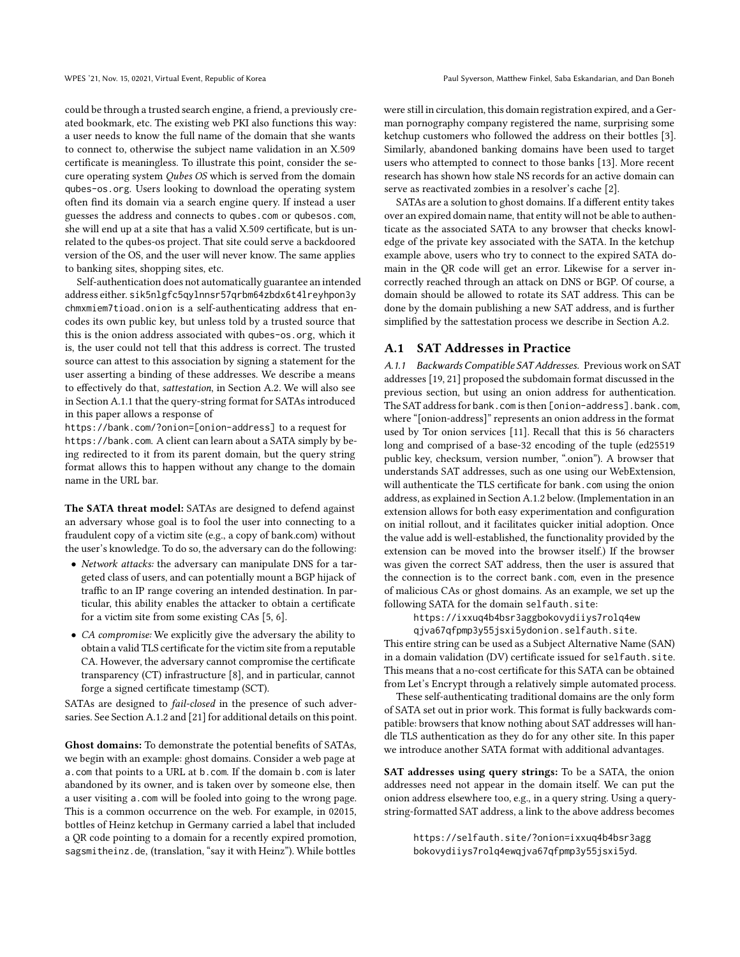could be through a trusted search engine, a friend, a previously created bookmark, etc. The existing web PKI also functions this way: a user needs to know the full name of the domain that she wants to connect to, otherwise the subject name validation in an X.509 certificate is meaningless. To illustrate this point, consider the secure operating system *Qubes OS* which is served from the domain qubes-os.org. Users looking to download the operating system often find its domain via a search engine query. If instead a user guesses the address and connects to qubes.com or qubesos.com, she will end up at a site that has a valid X.509 certificate, but is unrelated to the qubes-os project. That site could serve a backdoored version of the OS, and the user will never know. The same applies to banking sites, shopping sites, etc.

Self-authentication does not automatically guarantee an intended address either. sik5nlgfc5qylnnsr57qrbm64zbdx6t4lreyhpon3y chmxmiem7tioad.onion is a self-authenticating address that encodes its own public key, but unless told by a trusted source that this is the onion address associated with qubes-os.org, which it is, the user could not tell that this address is correct. The trusted source can attest to this association by signing a statement for the user asserting a binding of these addresses. We describe a means to effectively do that, *sattestation*, in Section [A.2.](#page-6-0) We will also see in Section [A.1.1](#page-5-0) that the query-string format for SATAs introduced in this paper allows a response of

https://bank.com/?onion=[onion-address] to a request for https://bank.com. A client can learn about a SATA simply by being redirected to it from its parent domain, but the query string format allows this to happen without any change to the domain name in the URL bar.

The SATA threat model: SATAs are designed to defend against an adversary whose goal is to fool the user into connecting to a fraudulent copy of a victim site (e.g., a copy of bank.com) without the user's knowledge. To do so, the adversary can do the following:

- *Network attacks:* the adversary can manipulate DNS for a targeted class of users, and can potentially mount a BGP hijack of traffic to an IP range covering an intended destination. In particular, this ability enables the attacker to obtain a certificate for a victim site from some existing CAs [\[5](#page-4-15), [6\]](#page-4-16).
- *CA compromise:* We explicitly give the adversary the ability to obtain a valid TLS certificate for the victim site from a reputable CA. However, the adversary cannot compromise the certificate transparency (CT) infrastructure [\[8\]](#page-4-11), and in particular, cannot forge a signed certificate timestamp (SCT).

SATAs are designed to *fail-closed* in the presence of such adversaries. See Section [A.1.2](#page-6-1) and [\[21\]](#page-4-4) for additional details on this point.

Ghost domains: To demonstrate the potential benefits of SATAs, we begin with an example: ghost domains. Consider a web page at a.com that points to a URL at b.com. If the domain b.com is later abandoned by its owner, and is taken over by someone else, then a user visiting a.com will be fooled into going to the wrong page. This is a common occurrence on the web. For example, in 02015, bottles of Heinz ketchup in Germany carried a label that included a QR code pointing to a domain for a recently expired promotion, sagsmitheinz.de, (translation, "say it with Heinz"). While bottles

were still in circulation, this domain registration expired, and a German pornography company registered the name, surprising some ketchup customers who followed the address on their bottles [\[3\]](#page-4-17). Similarly, abandoned banking domains have been used to target users who attempted to connect to those banks [\[13\]](#page-4-18). More recent research has shown how stale NS records for an active domain can serve as reactivated zombies in a resolver's cache [\[2\]](#page-4-19).

SATAs are a solution to ghost domains. If a different entity takes over an expired domain name, that entity will not be able to authenticate as the associated SATA to any browser that checks knowledge of the private key associated with the SATA. In the ketchup example above, users who try to connect to the expired SATA domain in the QR code will get an error. Likewise for a server incorrectly reached through an attack on DNS or BGP. Of course, a domain should be allowed to rotate its SAT address. This can be done by the domain publishing a new SAT address, and is further simplified by the sattestation process we describe in Section [A.2.](#page-6-0)

## <span id="page-5-0"></span>A.1 SAT Addresses in Practice

A.1.1 Backwards Compatible SAT Addresses. Previous work on SAT addresses [\[19](#page-4-8), [21](#page-4-4)] proposed the subdomain format discussed in the previous section, but using an onion address for authentication. The SAT address for bank.com is then [onion-address].bank.com, where "[onion-address]" represents an onion address in the format used by Tor onion services [\[11](#page-4-13)]. Recall that this is 56 characters long and comprised of a base-32 encoding of the tuple (ed25519 public key, checksum, version number, ".onion"). A browser that understands SAT addresses, such as one using our WebExtension, will authenticate the TLS certificate for bank.com using the onion address, as explained in Section [A.1.2](#page-6-1) below. (Implementation in an extension allows for both easy experimentation and configuration on initial rollout, and it facilitates quicker initial adoption. Once the value add is well-established, the functionality provided by the extension can be moved into the browser itself.) If the browser was given the correct SAT address, then the user is assured that the connection is to the correct bank.com, even in the presence of malicious CAs or ghost domains. As an example, we set up the following SATA for the domain selfauth.site:

https://ixxuq4b4bsr3aggbokovydiiys7rolq4ew qjva67qfpmp3y55jsxi5ydonion.selfauth.site.

This entire string can be used as a Subject Alternative Name (SAN) in a domain validation (DV) certificate issued for selfauth.site. This means that a no-cost certificate for this SATA can be obtained from Let's Encrypt through a relatively simple automated process.

These self-authenticating traditional domains are the only form of SATA set out in prior work. This format is fully backwards compatible: browsers that know nothing about SAT addresses will handle TLS authentication as they do for any other site. In this paper we introduce another SATA format with additional advantages.

SAT addresses using query strings: To be a SATA, the onion addresses need not appear in the domain itself. We can put the onion address elsewhere too, e.g., in a query string. Using a querystring-formatted SAT address, a link to the above address becomes

> https://selfauth.site/?onion=ixxuq4b4bsr3agg bokovydiiys7rolq4ewqjva67qfpmp3y55jsxi5yd.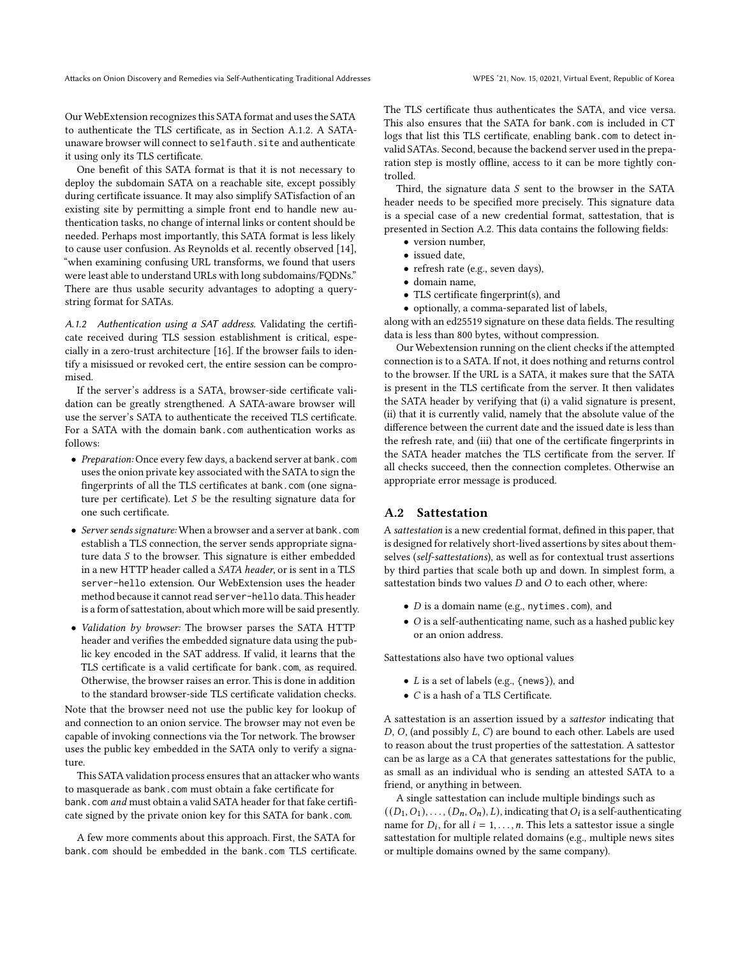Our WebExtension recognizes this SATA format and uses the SATA to authenticate the TLS certificate, as in Section [A.1.2.](#page-6-1) A SATAunaware browser will connect to selfauth.site and authenticate it using only its TLS certificate.

One benefit of this SATA format is that it is not necessary to deploy the subdomain SATA on a reachable site, except possibly during certificate issuance. It may also simplify SATisfaction of an existing site by permitting a simple front end to handle new authentication tasks, no change of internal links or content should be needed. Perhaps most importantly, this SATA format is less likely to cause user confusion. As Reynolds et al. recently observed [\[14\]](#page-4-20), "when examining confusing URL transforms, we found that users were least able to understand URLs with long subdomains/FQDNs." There are thus usable security advantages to adopting a querystring format for SATAs.

<span id="page-6-1"></span>A.1.2 Authentication using a SAT address. Validating the certificate received during TLS session establishment is critical, especially in a zero-trust architecture [\[16](#page-4-21)]. If the browser fails to identify a misissued or revoked cert, the entire session can be compromised.

If the server's address is a SATA, browser-side certificate validation can be greatly strengthened. A SATA-aware browser will use the server's SATA to authenticate the received TLS certificate. For a SATA with the domain bank.com authentication works as follows:

- *Preparation:* Once every few days, a backend server at bank.com uses the onion private key associated with the SATA to sign the fingerprints of all the TLS certificates at bank.com (one signature per certificate). Let  $S$  be the resulting signature data for one such certificate.
- *Server sends signature:* When a browser and a server at bank.com establish a TLS connection, the server sends appropriate signature data  $S$  to the browser. This signature is either embedded in a new HTTP header called a *SATA header*, or is sent in a TLS server-hello extension. Our WebExtension uses the header method because it cannot read server-hello data. This header is a form of sattestation, about which more will be said presently.
- *Validation by browser:* The browser parses the SATA HTTP header and verifies the embedded signature data using the public key encoded in the SAT address. If valid, it learns that the TLS certificate is a valid certificate for bank.com, as required. Otherwise, the browser raises an error. This is done in addition to the standard browser-side TLS certificate validation checks.

Note that the browser need not use the public key for lookup of and connection to an onion service. The browser may not even be capable of invoking connections via the Tor network. The browser uses the public key embedded in the SATA only to verify a signature.

This SATA validation process ensures that an attacker who wants to masquerade as bank.com must obtain a fake certificate for bank.com *and* must obtain a valid SATA header for that fake certificate signed by the private onion key for this SATA for bank.com.

A few more comments about this approach. First, the SATA for bank.com should be embedded in the bank.com TLS certificate. The TLS certificate thus authenticates the SATA, and vice versa. This also ensures that the SATA for bank.com is included in CT logs that list this TLS certificate, enabling bank.com to detect invalid SATAs. Second, because the backend server used in the preparation step is mostly offline, access to it can be more tightly controlled.

Third, the signature data  $S$  sent to the browser in the SATA header needs to be specified more precisely. This signature data is a special case of a new credential format, sattestation, that is presented in Section [A.2.](#page-6-0) This data contains the following fields:

- version number,
- issued date,
- refresh rate (e.g., seven days),
- domain name,
- TLS certificate fingerprint(s), and
- optionally, a comma-separated list of labels,

along with an ed25519 signature on these data fields. The resulting data is less than 800 bytes, without compression.

Our Webextension running on the client checks if the attempted connection is to a SATA. If not, it does nothing and returns control to the browser. If the URL is a SATA, it makes sure that the SATA is present in the TLS certificate from the server. It then validates the SATA header by verifying that (i) a valid signature is present, (ii) that it is currently valid, namely that the absolute value of the difference between the current date and the issued date is less than the refresh rate, and (iii) that one of the certificate fingerprints in the SATA header matches the TLS certificate from the server. If all checks succeed, then the connection completes. Otherwise an appropriate error message is produced.

#### <span id="page-6-0"></span>A.2 Sattestation

A *sattestation* is a new credential format, defined in this paper, that is designed for relatively short-lived assertions by sites about themselves (*self-sattestations*), as well as for contextual trust assertions by third parties that scale both up and down. In simplest form, a sattestation binds two values  $D$  and  $O$  to each other, where:

- $\bullet$  *D* is a domain name (e.g., nytimes.com), and
- $\bullet$  O is a self-authenticating name, such as a hashed public key or an onion address.

Sattestations also have two optional values

- $L$  is a set of labels (e.g., {news}), and
- $\bullet$  *C* is a hash of a TLS Certificate.

A sattestation is an assertion issued by a *sattestor* indicating that  $D$ ,  $O$ , (and possibly  $L$ ,  $C$ ) are bound to each other. Labels are used to reason about the trust properties of the sattestation. A sattestor can be as large as a CA that generates sattestations for the public, as small as an individual who is sending an attested SATA to a friend, or anything in between.

A single sattestation can include multiple bindings such as  $((D_1, O_1), \ldots, (D_n, O_n), L)$ , indicating that  $O_i$  is a self-authenticating name for  $D_i$ , for all  $i = 1, ..., n$ . This lets a sattestor issue a single sattestation for multiple related domains (e.g., multiple news sites or multiple domains owned by the same company).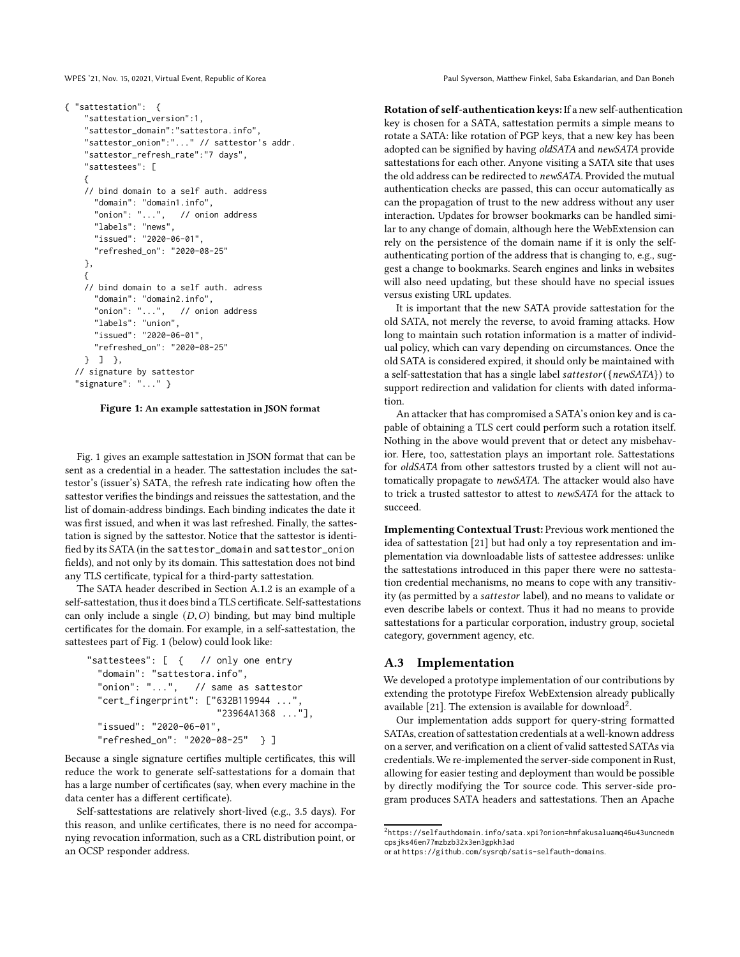<span id="page-7-0"></span>

```
{ "sattestation": {
   "sattestation_version":1,
   "sattestor_domain":"sattestora.info",
   "sattestor_onion":"..." // sattestor's addr.
   "sattestor_refresh_rate":"7 days",
   "sattestees": [
   {
   // bind domain to a self auth. address
     "domain": "domain1.info",
     "onion": "...", // onion address
     "labels": "news",
     "issued": "2020-06-01",
     "refreshed_on": "2020-08-25"
   },
   {
   // bind domain to a self auth. adress
     "domain": "domain2.info",
     "onion": "...", // onion address
     "labels": "union",
     "issued": "2020-06-01",
     "refreshed_on": "2020-08-25"
   } ] },
// signature by sattestor
 "signature": "..." }
```
Figure 1: An example sattestation in JSON format

Fig. [1](#page-7-0) gives an example sattestation in JSON format that can be sent as a credential in a header. The sattestation includes the sattestor's (issuer's) SATA, the refresh rate indicating how often the sattestor verifies the bindings and reissues the sattestation, and the list of domain-address bindings. Each binding indicates the date it was first issued, and when it was last refreshed. Finally, the sattestation is signed by the sattestor. Notice that the sattestor is identified by its SATA (in the sattestor\_domain and sattestor\_onion fields), and not only by its domain. This sattestation does not bind any TLS certificate, typical for a third-party sattestation.

The SATA header described in Section [A.1.2](#page-6-1) is an example of a self-sattestation, thus it does bind a TLS certificate. Self-sattestations can only include a single  $(D, O)$  binding, but may bind multiple certificates for the domain. For example, in a self-sattestation, the sattestees part of Fig. [1](#page-7-0) (below) could look like:

```
"sattestees": [ { // only one entry
"domain": "sattestora.info",
"onion": "...", // same as sattestor
 "cert_fingerprint": ["632B119944 ..."
                      "23964A1368 ..."],
"issued": "2020-06-01",
 "refreshed_on": "2020-08-25" } ]
```
Because a single signature certifies multiple certificates, this will reduce the work to generate self-sattestations for a domain that has a large number of certificates (say, when every machine in the data center has a different certificate).

Self-sattestations are relatively short-lived (e.g., 3.5 days). For this reason, and unlike certificates, there is no need for accompanying revocation information, such as a CRL distribution point, or an OCSP responder address.

WPES '21, Nov. 15, 02021, Virtual Event, Republic of Korea Paul Syverson, Matthew Finkel, Saba Eskandarian, and Dan Boneh

Rotation of self-authentication keys: If a new self-authentication key is chosen for a SATA, sattestation permits a simple means to rotate a SATA: like rotation of PGP keys, that a new key has been adopted can be signified by having *oldSATA* and *newSATA* provide sattestations for each other. Anyone visiting a SATA site that uses the old address can be redirected to *newSATA*. Provided the mutual authentication checks are passed, this can occur automatically as can the propagation of trust to the new address without any user interaction. Updates for browser bookmarks can be handled similar to any change of domain, although here the WebExtension can rely on the persistence of the domain name if it is only the selfauthenticating portion of the address that is changing to, e.g., suggest a change to bookmarks. Search engines and links in websites will also need updating, but these should have no special issues versus existing URL updates.

It is important that the new SATA provide sattestation for the old SATA, not merely the reverse, to avoid framing attacks. How long to maintain such rotation information is a matter of individual policy, which can vary depending on circumstances. Once the old SATA is considered expired, it should only be maintained with a self-sattestation that has a single label sattestor({ $newSATA$ }) to support redirection and validation for clients with dated information.

An attacker that has compromised a SATA's onion key and is capable of obtaining a TLS cert could perform such a rotation itself. Nothing in the above would prevent that or detect any misbehavior. Here, too, sattestation plays an important role. Sattestations for *oldSATA* from other sattestors trusted by a client will not automatically propagate to *newSATA*. The attacker would also have to trick a trusted sattestor to attest to *newSATA* for the attack to succeed.

Implementing Contextual Trust: Previous work mentioned the idea of sattestation [\[21](#page-4-4)] but had only a toy representation and implementation via downloadable lists of sattestee addresses: unlike the sattestations introduced in this paper there were no sattestation credential mechanisms, no means to cope with any transitivity (as permitted by a sattestor label), and no means to validate or even describe labels or context. Thus it had no means to provide sattestations for a particular corporation, industry group, societal category, government agency, etc.

## A.3 Implementation

We developed a prototype implementation of our contributions by extending the prototype Firefox WebExtension already publically available [\[21](#page-4-4)]. The extension is available for download<sup>[2](#page-7-1)</sup>.

Our implementation adds support for query-string formatted SATAs, creation of sattestation credentials at a well-known address on a server, and verification on a client of valid sattested SATAs via credentials. We re-implemented the server-side component in Rust, allowing for easier testing and deployment than would be possible by directly modifying the Tor source code. This server-side program produces SATA headers and sattestations. Then an Apache

 $^{2}$ https://selfauthdomain.info/sata.xpi?onion=hmfakusaluamq46u43uncnedm cpsjks46en77mzbzb32x3en3gpkh3ad

<span id="page-7-1"></span>or at https://github.com/sysrqb/satis-selfauth-domains.